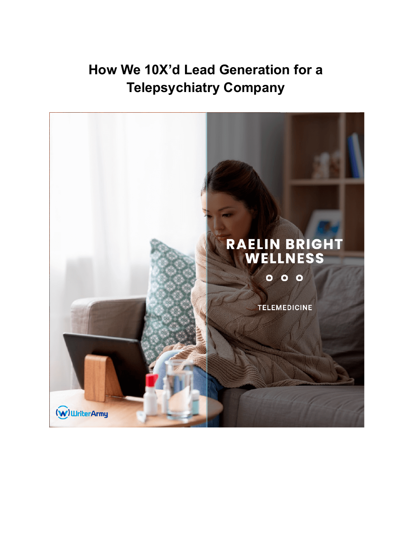# **How We 10X'd Lead Generation for a Telepsychiatry Company**

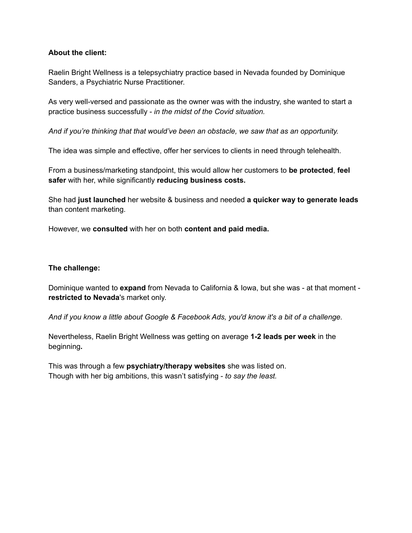### **About the client:**

Raelin Bright Wellness is a telepsychiatry practice based in Nevada founded by Dominique Sanders, a Psychiatric Nurse Practitioner.

As very well-versed and passionate as the owner was with the industry, she wanted to start a practice business successfully - *in the midst of the Covid situation.*

*And if you're thinking that that would've been an obstacle, we saw that as an opportunity.*

The idea was simple and effective, offer her services to clients in need through telehealth.

From a business/marketing standpoint, this would allow her customers to **be protected**, **feel safer** with her, while significantly **reducing business costs.**

She had **just launched** her website & business and needed **a quicker way to generate leads** than content marketing.

However, we **consulted** with her on both **content and paid media.**

#### **The challenge:**

Dominique wanted to **expand** from Nevada to California & Iowa, but she was - at that moment **restricted to Nevada**'s market only.

*And if you know a little about Google & Facebook Ads, you'd know it's a bit of a challenge.*

Nevertheless, Raelin Bright Wellness was getting on average **1-2 leads per week** in the beginning**.**

This was through a few **psychiatry/therapy websites** she was listed on. Though with her big ambitions, this wasn't satisfying - *to say the least.*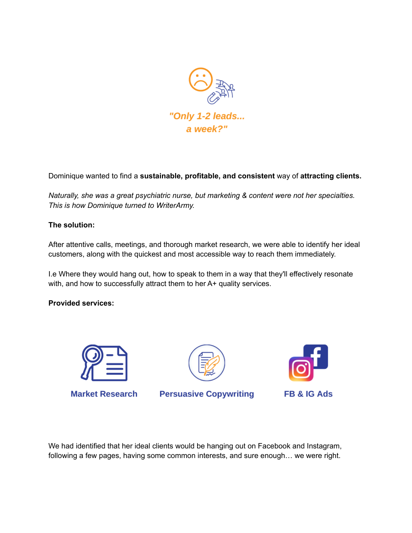

Dominique wanted to find a **sustainable, profitable, and consistent** way of **attracting clients.**

*Naturally, she was a great psychiatric nurse, but marketing & content were not her specialties. This is how Dominique turned to WriterArmy.*

#### **The solution:**

After attentive calls, meetings, and thorough market research, we were able to identify her ideal customers, along with the quickest and most accessible way to reach them immediately.

I.e Where they would hang out, how to speak to them in a way that they'll effectively resonate with, and how to successfully attract them to her A+ quality services.

#### **Provided services:**



**Market Research** 



**Persuasive Copywriting** 



**FB & IG Ads** 

We had identified that her ideal clients would be hanging out on Facebook and Instagram, following a few pages, having some common interests, and sure enough… we were right.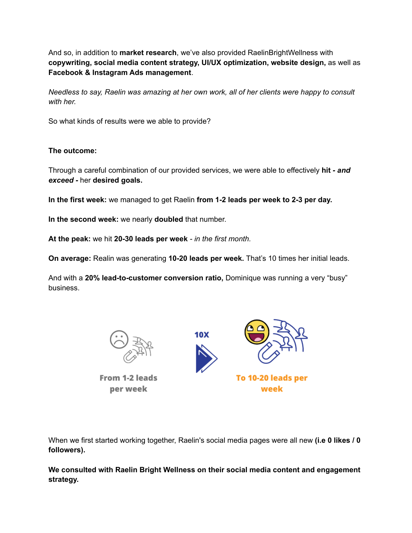And so, in addition to **market research**, we've also provided RaelinBrightWellness with **copywriting, social media content strategy, UI/UX optimization, website design,** as well as **Facebook & Instagram Ads management**.

*Needless to say, Raelin was amazing at her own work, all of her clients were happy to consult with her.*

So what kinds of results were we able to provide?

## **The outcome:**

Through a careful combination of our provided services, we were able to effectively **hit** *- and exceed -* her **desired goals.**

**In the first week:** we managed to get Raelin **from 1-2 leads per week to 2-3 per day.**

**In the second week:** we nearly **doubled** that number.

**At the peak:** we hit **20-30 leads per week** *- in the first month.*

**On average:** Realin was generating **10-20 leads per week.** That's 10 times her initial leads.

And with a **20% lead-to-customer conversion ratio,** Dominique was running a very "busy" business.

10**X** 



From 1-2 leads per week



When we first started working together, Raelin's social media pages were all new **(i.e 0 likes / 0 followers).**

**We consulted with Raelin Bright Wellness on their social media content and engagement strategy.**